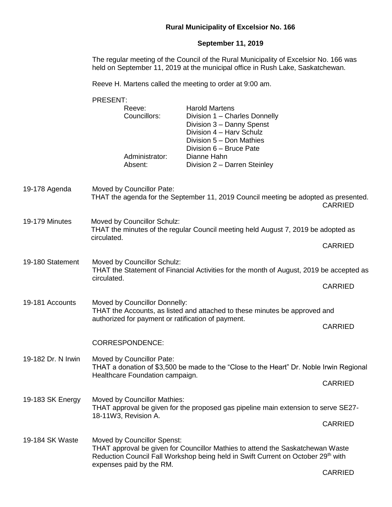## **Rural Municipality of Excelsior No. 166**

## **September 11, 2019**

The regular meeting of the Council of the Rural Municipality of Excelsior No. 166 was held on September 11, 2019 at the municipal office in Rush Lake, Saskatchewan.

Reeve H. Martens called the meeting to order at 9:00 am.

PRESENT: Reeve: Harold Martens Councillors: Division 1 – Charles Donnelly Division 3 – Danny Spenst Division 4 – Harv Schulz Division 5 – Don Mathies Division 6 – Bruce Pate Administrator: Dianne Hahn Absent: Division 2 – Darren Steinley 19-178 Agenda Moved by Councillor Pate: THAT the agenda for the September 11, 2019 Council meeting be adopted as presented. CARRIED 19-179 Minutes Moved by Councillor Schulz: THAT the minutes of the regular Council meeting held August 7, 2019 be adopted as circulated. CARRIED 19-180 Statement Moved by Councillor Schulz: THAT the Statement of Financial Activities for the month of August, 2019 be accepted as circulated. **CARRIED** 19-181 Accounts Moved by Councillor Donnelly: THAT the Accounts, as listed and attached to these minutes be approved and authorized for payment or ratification of payment. CARRIED CORRESPONDENCE: 19-182 Dr. N Irwin Moved by Councillor Pate: THAT a donation of \$3,500 be made to the "Close to the Heart" Dr. Noble Irwin Regional Healthcare Foundation campaign. CARRIED 19-183 SK Energy Moved by Councillor Mathies: THAT approval be given for the proposed gas pipeline main extension to serve SE27- 18-11W3, Revision A. CARRIED 19-184 SK Waste Moved by Councillor Spenst: THAT approval be given for Councillor Mathies to attend the Saskatchewan Waste Reduction Council Fall Workshop being held in Swift Current on October 29<sup>th</sup> with expenses paid by the RM.

CARRIED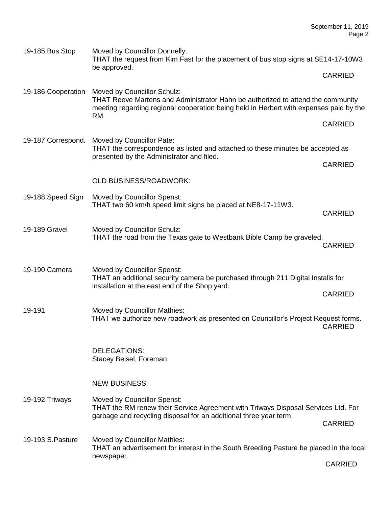| 19-185 Bus Stop    | Moved by Councillor Donnelly:<br>THAT the request from Kim Fast for the placement of bus stop signs at SE14-17-10W3<br>be approved.                                                                             |                |  |
|--------------------|-----------------------------------------------------------------------------------------------------------------------------------------------------------------------------------------------------------------|----------------|--|
|                    |                                                                                                                                                                                                                 | <b>CARRIED</b> |  |
| 19-186 Cooperation | Moved by Councillor Schulz:<br>THAT Reeve Martens and Administrator Hahn be authorized to attend the community<br>meeting regarding regional cooperation being held in Herbert with expenses paid by the<br>RM. |                |  |
|                    |                                                                                                                                                                                                                 | <b>CARRIED</b> |  |
| 19-187 Correspond. | Moved by Councillor Pate:<br>THAT the correspondence as listed and attached to these minutes be accepted as                                                                                                     |                |  |
|                    | presented by the Administrator and filed.                                                                                                                                                                       | <b>CARRIED</b> |  |
|                    | <b>OLD BUSINESS/ROADWORK:</b>                                                                                                                                                                                   |                |  |
| 19-188 Speed Sign  | <b>Moved by Councillor Spenst:</b><br>THAT two 60 km/h speed limit signs be placed at NE8-17-11W3.                                                                                                              | <b>CARRIED</b> |  |
| 19-189 Gravel      | Moved by Councillor Schulz:<br>THAT the road from the Texas gate to Westbank Bible Camp be graveled.                                                                                                            | <b>CARRIED</b> |  |
| 19-190 Camera      | Moved by Councillor Spenst:<br>THAT an additional security camera be purchased through 211 Digital Installs for<br>installation at the east end of the Shop yard.                                               |                |  |
|                    |                                                                                                                                                                                                                 | <b>CARRIED</b> |  |
| 19-191             | Moved by Councillor Mathies:<br>THAT we authorize new roadwork as presented on Councillor's Project Request forms.                                                                                              | <b>CARRIED</b> |  |
|                    | <b>DELEGATIONS:</b><br>Stacey Beisel, Foreman                                                                                                                                                                   |                |  |
|                    | <b>NEW BUSINESS:</b>                                                                                                                                                                                            |                |  |
| 19-192 Triways     | Moved by Councillor Spenst:<br>THAT the RM renew their Service Agreement with Triways Disposal Services Ltd. For                                                                                                |                |  |
|                    | garbage and recycling disposal for an additional three year term.                                                                                                                                               | <b>CARRIED</b> |  |
| 19-193 S. Pasture  | Moved by Councillor Mathies:<br>THAT an advertisement for interest in the South Breeding Pasture be placed in the local                                                                                         |                |  |
|                    | newspaper.                                                                                                                                                                                                      | <b>CARRIED</b> |  |